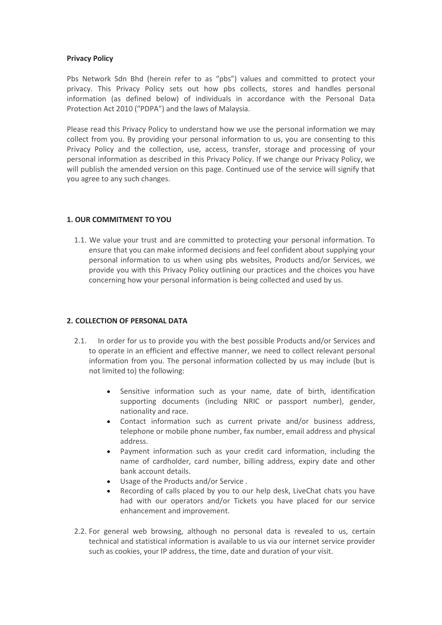### **Privacy Policy**

Pbs Network Sdn Bhd (herein refer to as "pbs") values and committed to protect your privacy. This Privacy Policy sets out how pbs collects, stores and handles personal information (as defined below) of individuals in accordance with the Personal Data Protection Act 2010 ("PDPA") and the laws of Malaysia.

Please read this Privacy Policy to understand how we use the personal information we may collect from you. By providing your personal information to us, you are consenting to this Privacy Policy and the collection, use, access, transfer, storage and processing of your personal information as described in this Privacy Policy. If we change our Privacy Policy, we will publish the amended version on this page. Continued use of the service will signify that you agree to any such changes.

## **1. OUR COMMITMENT TO YOU**

1.1. We value your trust and are committed to protecting your personal information. To ensure that you can make informed decisions and feel confident about supplying your personal information to us when using pbs websites, Products and/or Services, we provide you with this Privacy Policy outlining our practices and the choices you have concerning how your personal information is being collected and used by us.

## **2. COLLECTION OF PERSONAL DATA**

- 2.1. In order for us to provide you with the best possible Products and/or Services and to operate in an efficient and effective manner, we need to collect relevant personal information from you. The personal information collected by us may include (but is not limited to) the following:
	- Sensitive information such as your name, date of birth, identification supporting documents (including NRIC or passport number), gender, nationality and race.
	- Contact information such as current private and/or business address, telephone or mobile phone number, fax number, email address and physical address.
	- Payment information such as your credit card information, including the name of cardholder, card number, billing address, expiry date and other bank account details.
	- Usage of the Products and/or Service .
	- Recording of calls placed by you to our help desk, LiveChat chats you have had with our operators and/or Tickets you have placed for our service enhancement and improvement.
- 2.2. For general web browsing, although no personal data is revealed to us, certain technical and statistical information is available to us via our internet service provider such as cookies, your IP address, the time, date and duration of your visit.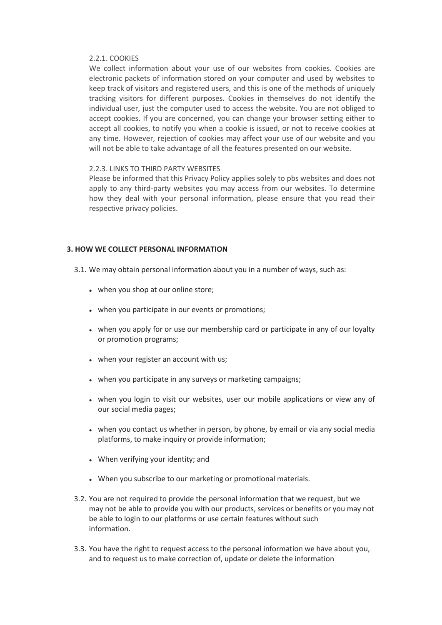### 2.2.1. COOKIES

We collect information about your use of our websites from cookies. Cookies are electronic packets of information stored on your computer and used by websites to keep track of visitors and registered users, and this is one of the methods of uniquely tracking visitors for different purposes. Cookies in themselves do not identify the individual user, just the computer used to access the website. You are not obliged to accept cookies. If you are concerned, you can change your browser setting either to accept all cookies, to notify you when a cookie is issued, or not to receive cookies at any time. However, rejection of cookies may affect your use of our website and you will not be able to take advantage of all the features presented on our website.

### 2.2.3. LINKS TO THIRD PARTY WEBSITES

Please be informed that this Privacy Policy applies solely to pbs websites and does not apply to any third-party websites you may access from our websites. To determine how they deal with your personal information, please ensure that you read their respective privacy policies.

## **3. HOW WE COLLECT PERSONAL INFORMATION**

- 3.1. We may obtain personal information about you in a number of ways, such as:
	- when you shop at our online store;
	- when you participate in our events or promotions;
	- when you apply for or use our membership card or participate in any of our loyalty or promotion programs;
	- when your register an account with us;
	- when you participate in any surveys or marketing campaigns:
	- ⚫ when you login to visit our websites, user our mobile applications or view any of our social media pages;
	- ⚫ when you contact us whether in person, by phone, by email or via any social media platforms, to make inquiry or provide information;
	- ⚫ When verifying your identity; and
	- ⚫ When you subscribe to our marketing or promotional materials.
- 3.2. You are not required to provide the personal information that we request, but we may not be able to provide you with our products, services or benefits or you may not be able to login to our platforms or use certain features without such information.
- 3.3. You have the right to request access to the personal information we have about you, and to request us to make correction of, update or delete the information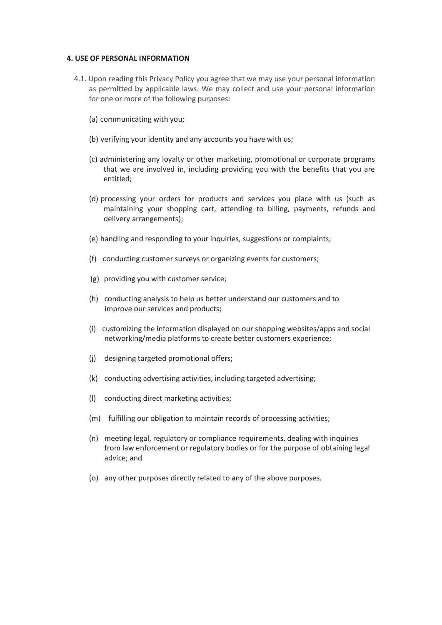#### **4. USE OF PERSONAL INFORMATION**

- 4.1. Upon reading this Privacy Policy you agree that we may use your personal information as permitted by applicable laws. We may collect and use your personal information for one or more of the following purposes:
	- (a) communicating with you;
	- (b) verifying your identity and any accounts you have with us;
	- (c) administering any loyalty or other marketing, promotional or corporate programs that we are involved in, including providing you with the benefits that you are entitled;
	- (d) processing your orders for products and services you place with us (such as maintaining your shopping cart, attending to billing, payments, refunds and delivery arrangements);
	- (e) handling and responding to your inquiries, suggestions or complaints;
	- (f) conducting customer surveys or organizing events for customers;
	- (g) providing you with customer service;
	- (h) conducting analysis to help us better understand our customers and to improve our services and products;
	- (i) customizing the information displayed on our shopping websites/apps and social networking/media platforms to create better customers experience;
	- (j) designing targeted promotional offers;
	- (k) conducting advertising activities, including targeted advertising;
	- (l) conducting direct marketing activities;
	- (m) fulfilling our obligation to maintain records of processing activities;
	- (n) meeting legal, regulatory or compliance requirements, dealing with inquiries from law enforcement or regulatory bodies or for the purpose of obtaining legal advice; and
	- (o) any other purposes directly related to any of the above purposes.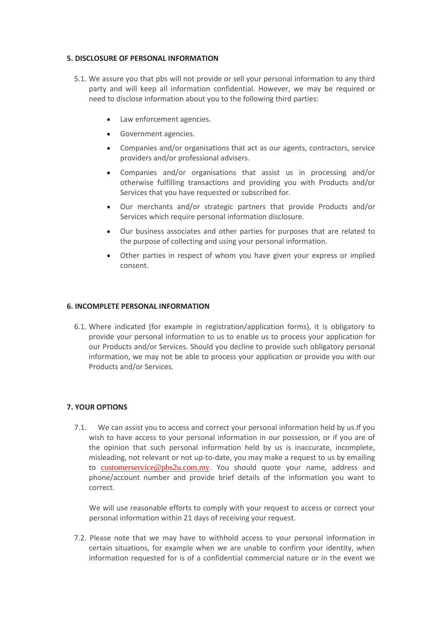## **5. DISCLOSURE OF PERSONAL INFORMATION**

- 5.1. We assure you that pbs will not provide or sell your personal information to any third party and will keep all information confidential. However, we may be required or need to disclose information about you to the following third parties:
	- Law enforcement agencies.
	- Government agencies.
	- Companies and/or organisations that act as our agents, contractors, service providers and/or professional advisers.
	- Companies and/or organisations that assist us in processing and/or otherwise fulfilling transactions and providing you with Products and/or Services that you have requested or subscribed for.
	- Our merchants and/or strategic partners that provide Products and/or Services which require personal information disclosure.
	- Our business associates and other parties for purposes that are related to the purpose of collecting and using your personal information.
	- Other parties in respect of whom you have given your express or implied consent.

## **6. INCOMPLETE PERSONAL INFORMATION**

6.1. Where indicated (for example in registration/application forms), it is obligatory to provide your personal information to us to enable us to process your application for our Products and/or Services. Should you decline to provide such obligatory personal information, we may not be able to process your application or provide you with our Products and/or Services.

# **7. YOUR OPTIONS**

7.1. We can assist you to access and correct your personal information held by us.If you wish to have access to your personal information in our possession, or if you are of the opinion that such personal information held by us is inaccurate, incomplete, misleading, not relevant or not up-to-date, you may make a request to us by emailing to [customerservice@pbs2u.com.my](mailto:customerservice@pbs2u.com.my). You should quote your name, address and phone/account number and provide brief details of the information you want to correct.

We will use reasonable efforts to comply with your request to access or correct your personal information within 21 days of receiving your request.

7.2. Please note that we may have to withhold access to your personal information in certain situations, for example when we are unable to confirm your identity, when information requested for is of a confidential commercial nature or in the event we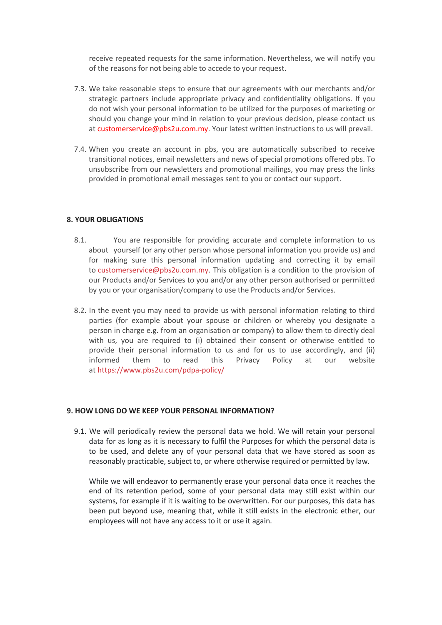receive repeated requests for the same information. Nevertheless, we will notify you of the reasons for not being able to accede to your request.

- 7.3. We take reasonable steps to ensure that our agreements with our merchants and/or strategic partners include appropriate privacy and confidentiality obligations. If you do not wish your personal information to be utilized for the purposes of marketing or should you change your mind in relation to your previous decision, please contact us at [customerservice@pbs2u.com.my.](customerservice@pbs2u.com.my) Your latest written instructions to us will prevail.
- 7.4. When you create an account in pbs, you are automatically subscribed to receive transitional notices, email newsletters and news of special promotions offered pbs. To unsubscribe from our newsletters and promotional mailings, you may press the links provided in promotional email messages sent to you or contact our support.

## **8. YOUR OBLIGATIONS**

- 8.1. You are responsible for providing accurate and complete information to us about yourself (or any other person whose personal information you provide us) and for making sure this personal information updating and correcting it by email to [customerservice@pbs2u.com.my.](mailto:customerservice@pbs2u.com.my) This obligation is a condition to the provision of our Products and/or Services to you and/or any other person authorised or permitted by you or your organisation/company to use the Products and/or Services.
- 8.2. In the event you may need to provide us with personal information relating to third parties (for example about your spouse or children or whereby you designate a person in charge e.g. from an organisation or company) to allow them to directly deal with us, you are required to (i) obtained their consent or otherwise entitled to provide their personal information to us and for us to use accordingly, and (ii) informed them to read this Privacy Policy at our website at [https://www.pbs2u.com/pdpa-policy/](https://pbs2u.com/pdpa-policy/)

#### **9. HOW LONG DO WE KEEP YOUR PERSONAL INFORMATION?**

9.1. We will periodically review the personal data we hold. We will retain your personal data for as long as it is necessary to fulfil the Purposes for which the personal data is to be used, and delete any of your personal data that we have stored as soon as reasonably practicable, subject to, or where otherwise required or permitted by law.

While we will endeavor to permanently erase your personal data once it reaches the end of its retention period, some of your personal data may still exist within our systems, for example if it is waiting to be overwritten. For our purposes, this data has been put beyond use, meaning that, while it still exists in the electronic ether, our employees will not have any access to it or use it again.